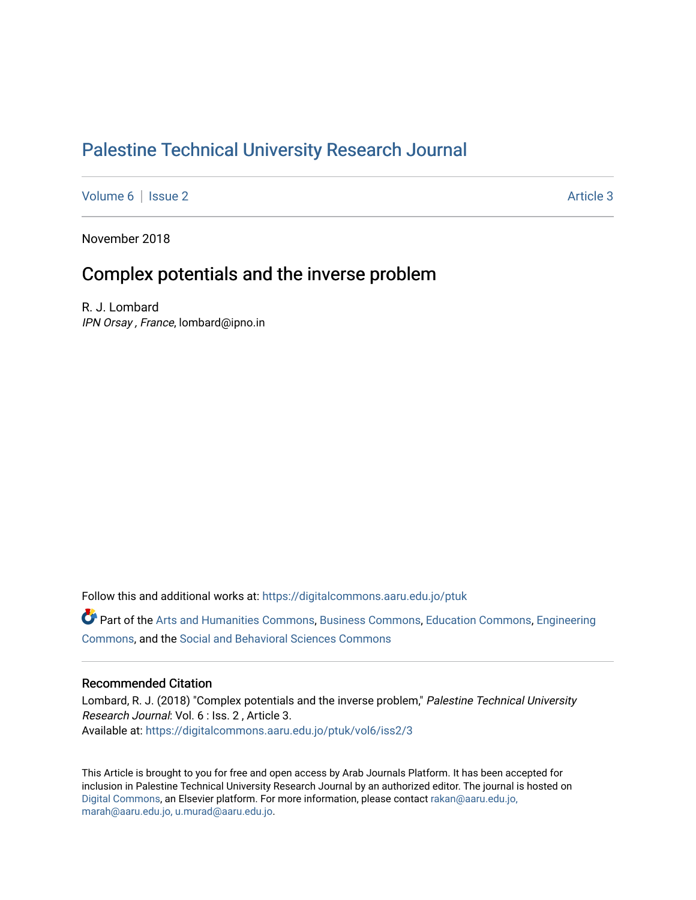## [Palestine Technical University Research Journal](https://digitalcommons.aaru.edu.jo/ptuk)

[Volume 6](https://digitalcommons.aaru.edu.jo/ptuk/vol6) | [Issue 2](https://digitalcommons.aaru.edu.jo/ptuk/vol6/iss2) Article 3

November 2018

## Complex potentials and the inverse problem

R. J. Lombard IPN Orsay , France, lombard@ipno.in

Follow this and additional works at: [https://digitalcommons.aaru.edu.jo/ptuk](https://digitalcommons.aaru.edu.jo/ptuk?utm_source=digitalcommons.aaru.edu.jo%2Fptuk%2Fvol6%2Fiss2%2F3&utm_medium=PDF&utm_campaign=PDFCoverPages) 

Part of the [Arts and Humanities Commons,](http://network.bepress.com/hgg/discipline/438?utm_source=digitalcommons.aaru.edu.jo%2Fptuk%2Fvol6%2Fiss2%2F3&utm_medium=PDF&utm_campaign=PDFCoverPages) [Business Commons](http://network.bepress.com/hgg/discipline/622?utm_source=digitalcommons.aaru.edu.jo%2Fptuk%2Fvol6%2Fiss2%2F3&utm_medium=PDF&utm_campaign=PDFCoverPages), [Education Commons,](http://network.bepress.com/hgg/discipline/784?utm_source=digitalcommons.aaru.edu.jo%2Fptuk%2Fvol6%2Fiss2%2F3&utm_medium=PDF&utm_campaign=PDFCoverPages) [Engineering](http://network.bepress.com/hgg/discipline/217?utm_source=digitalcommons.aaru.edu.jo%2Fptuk%2Fvol6%2Fiss2%2F3&utm_medium=PDF&utm_campaign=PDFCoverPages) [Commons](http://network.bepress.com/hgg/discipline/217?utm_source=digitalcommons.aaru.edu.jo%2Fptuk%2Fvol6%2Fiss2%2F3&utm_medium=PDF&utm_campaign=PDFCoverPages), and the [Social and Behavioral Sciences Commons](http://network.bepress.com/hgg/discipline/316?utm_source=digitalcommons.aaru.edu.jo%2Fptuk%2Fvol6%2Fiss2%2F3&utm_medium=PDF&utm_campaign=PDFCoverPages)

#### Recommended Citation

Lombard, R. J. (2018) "Complex potentials and the inverse problem," Palestine Technical University Research Journal: Vol. 6 : Iss. 2 , Article 3. Available at: [https://digitalcommons.aaru.edu.jo/ptuk/vol6/iss2/3](https://digitalcommons.aaru.edu.jo/ptuk/vol6/iss2/3?utm_source=digitalcommons.aaru.edu.jo%2Fptuk%2Fvol6%2Fiss2%2F3&utm_medium=PDF&utm_campaign=PDFCoverPages)

This Article is brought to you for free and open access by Arab Journals Platform. It has been accepted for inclusion in Palestine Technical University Research Journal by an authorized editor. The journal is hosted on [Digital Commons](https://www.elsevier.com/solutions/digital-commons), an Elsevier platform. For more information, please contact [rakan@aaru.edu.jo,](mailto:rakan@aaru.edu.jo,%20marah@aaru.edu.jo,%20u.murad@aaru.edu.jo)  [marah@aaru.edu.jo, u.murad@aaru.edu.jo.](mailto:rakan@aaru.edu.jo,%20marah@aaru.edu.jo,%20u.murad@aaru.edu.jo)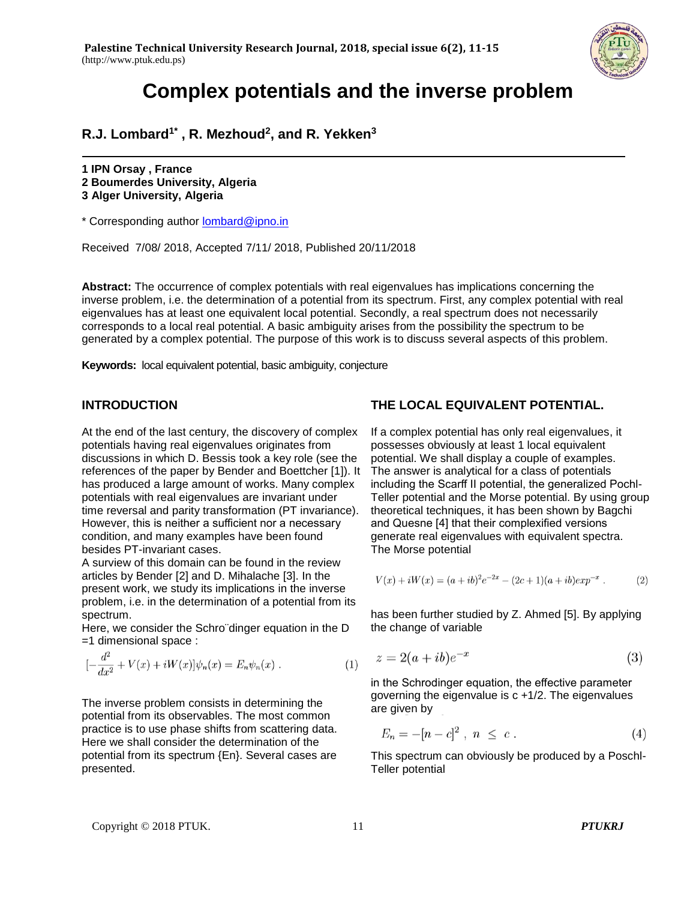

**R.J. Lombard1\* , R. Mezhoud<sup>2</sup> , and R. Yekken<sup>3</sup>**

**1 IPN Orsay , France 2 Boumerdes University, Algeria 3 Alger University, Algeria**

\* Corresponding author [lombard@ipno.in](mailto:lombard@ipno.in)

Received 7/08/ 2018, Accepted 7/11/ 2018, Published 20/11/2018

**Abstract:** The occurrence of complex potentials with real eigenvalues has implications concerning the inverse problem, i.e. the determination of a potential from its spectrum. First, any complex potential with real eigenvalues has at least one equivalent local potential. Secondly, a real spectrum does not necessarily corresponds to a local real potential. A basic ambiguity arises from the possibility the spectrum to be generated by a complex potential. The purpose of this work is to discuss several aspects of this problem.

**Keywords:**local equivalent potential, basic ambiguity, conjecture

#### **INTRODUCTION**

At the end of the last century, the discovery of complex potentials having real eigenvalues originates from discussions in which D. Bessis took a key role (see the references of the paper by Bender and Boettcher [1]). It has produced a large amount of works. Many complex potentials with real eigenvalues are invariant under time reversal and parity transformation (PT invariance). However, this is neither a sufficient nor a necessary condition, and many examples have been found besides PT-invariant cases.

A surview of this domain can be found in the review articles by Bender [2] and D. Mihalache [3]. In the present work, we study its implications in the inverse problem, i.e. in the determination of a potential from its spectrum.

Here, we consider the Schro¨dinger equation in the D =1 dimensional space :

$$
[-\frac{d^2}{dx^2} + V(x) + iW(x)]\psi_n(x) = E_n\psi_n(x) .
$$
 (1)

The inverse problem consists in determining the potential from its observables. The most common practice is to use phase shifts from scattering data. Here we shall consider the determination of the potential from its spectrum {En}. Several cases are presented.

### **THE LOCAL EQUIVALENT POTENTIAL.**

If a complex potential has only real eigenvalues, it possesses obviously at least 1 local equivalent potential. We shall display a couple of examples. The answer is analytical for a class of potentials including the Scarff II potential, the generalized Pochl-Teller potential and the Morse potential. By using group theoretical techniques, it has been shown by Bagchi and Quesne [4] that their complexified versions generate real eigenvalues with equivalent spectra. The Morse potential

$$
V(x) + iW(x) = (a + ib)^{2}e^{-2x} - (2c + 1)(a + ib)exp^{-x}.
$$
 (2)

has been further studied by Z. Ahmed [5]. By applying the change of variable

$$
z = 2(a + ib)e^{-x} \tag{3}
$$

in the Schrodinger equation, the effective parameter governing the eigenvalue is c +1/2. The eigenvalues are given by

$$
E_n = -[n - c]^2 \; , \; n \; \leq \; c \; . \tag{4}
$$

This spectrum can obviously be produced by a Poschl-Teller potential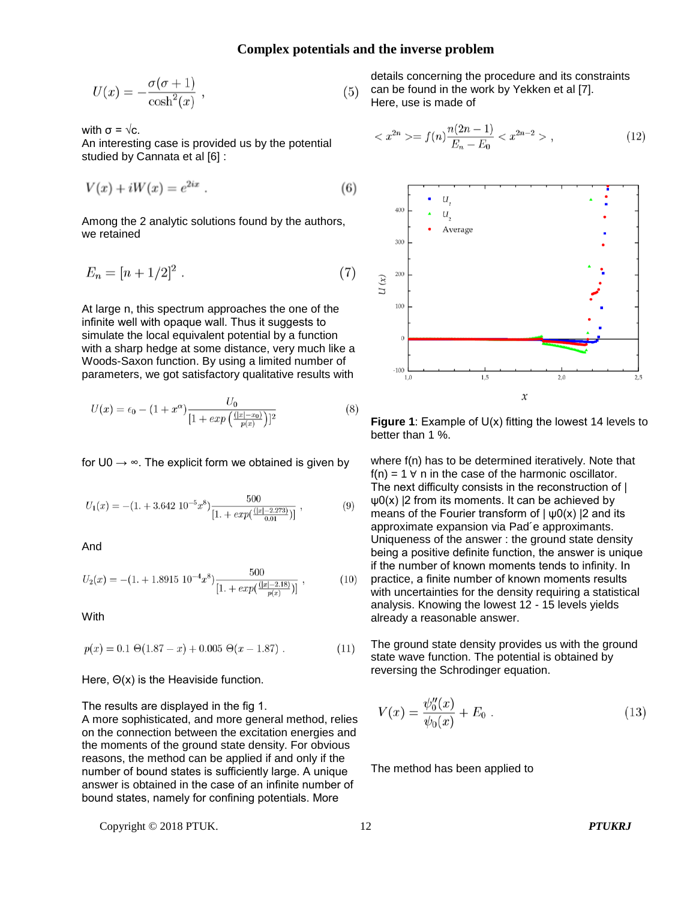$$
U(x) = -\frac{\sigma(\sigma+1)}{\cosh^2(x)} ,
$$
 (3)

with  $\sigma = \sqrt{c}$ .

An interesting case is provided us by the potential studied by Cannata et al [6] :

$$
V(x) + iW(x) = e^{2ix} \tag{6}
$$

Among the 2 analytic solutions found by the authors, we retained

$$
E_n = [n + 1/2]^2 \ . \tag{7}
$$

At large n, this spectrum approaches the one of the infinite well with opaque wall. Thus it suggests to simulate the local equivalent potential by a function with a sharp hedge at some distance, very much like a Woods-Saxon function. By using a limited number of parameters, we got satisfactory qualitative results with

$$
U(x) = \epsilon_0 - (1 + x^{\alpha}) \frac{U_0}{[1 + exp(\frac{(|x| - x_0)}{p(x)})]^2}
$$
 (8)

for  $U0 \rightarrow \infty$ . The explicit form we obtained is given by

$$
U_1(x) = -(1. + 3.642 \; 10^{-5} x^8) \frac{500}{[1. + exp(\frac{(|x| - 2.273)}{0.01})]}, \qquad (9)
$$

And

$$
U_2(x) = -(1. + 1.8915 \ 10^{-4} x^8) \frac{500}{[1. + exp(\frac{(|x| - 2.18)}{p(x)})]},
$$
\n(10)

With

$$
p(x) = 0.1 \Theta(1.87 - x) + 0.005 \Theta(x - 1.87) . \tag{11}
$$

Here, Θ(x) is the Heaviside function.

The results are displayed in the fig 1.

A more sophisticated, and more general method, relies on the connection between the excitation energies and the moments of the ground state density. For obvious reasons, the method can be applied if and only if the number of bound states is sufficiently large. A unique answer is obtained in the case of an infinite number of bound states, namely for confining potentials. More

details concerning the procedure and its constraints 5) can be found in the work by Yekken et al [7]. Here, use is made of

$$
\langle x^{2n} \rangle = f(n) \frac{n(2n-1)}{E_n - E_0} \langle x^{2n-2} \rangle , \qquad (12)
$$



**Figure 1**: Example of U(x) fitting the lowest 14 levels to better than 1 %.

where f(n) has to be determined iteratively. Note that  $f(n) = 1$   $\forall$  n in the case of the harmonic oscillator. The next difficulty consists in the reconstruction of |  $\psi$ 0(x) |2 from its moments. It can be achieved by means of the Fourier transform of  $|\psi(0)|$  |2 and its approximate expansion via Pad´e approximants. Uniqueness of the answer : the ground state density being a positive definite function, the answer is unique if the number of known moments tends to infinity. In  $\mathcal{L}$ practice, a finite number of known moments results with uncertainties for the density requiring a statistical analysis. Knowing the lowest 12 - 15 levels yields already a reasonable answer.

The ground state density provides us with the ground state wave function. The potential is obtained by reversing the Schrodinger equation.

$$
V(x) = \frac{\psi_0''(x)}{\psi_0(x)} + E_0.
$$
 (13)

The method has been applied to

Copyright © 2018 PTUK. 12 *PTUKRJ*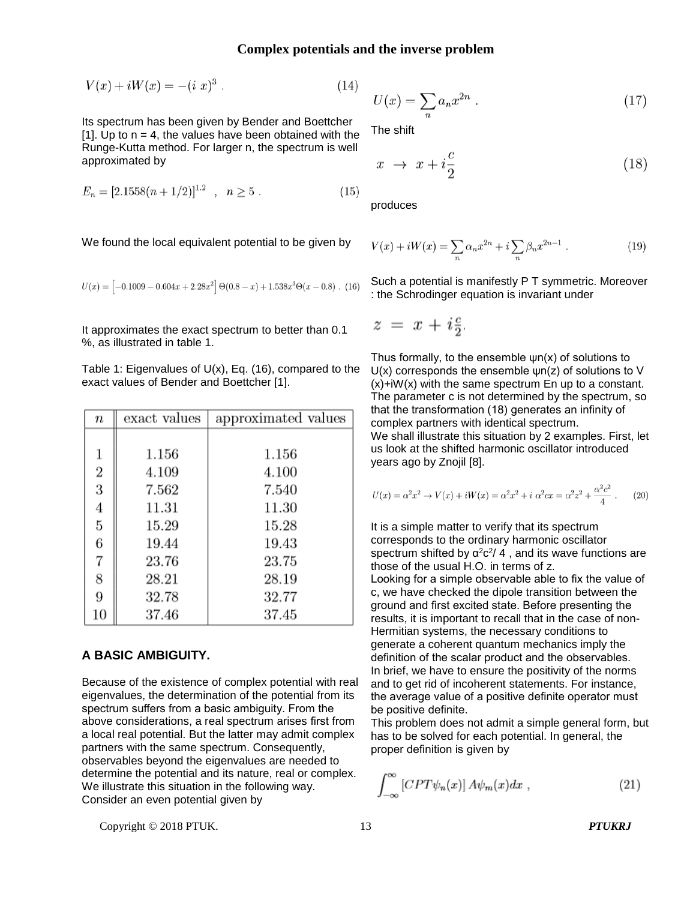$$
V(x) + iW(x) = -(i x)^3.
$$
 (14)

Its spectrum has been given by Bender and Boettcher [1]. Up to  $n = 4$ , the values have been obtained with the Runge-Kutta method. For larger n, the spectrum is well approximated by

$$
E_n = [2.1558(n + 1/2)]^{1.2} \t, \t n \ge 5. \t(15)
$$

We found the local equivalent potential to be given by

$$
U(x) = \left[ -0.1009 - 0.604x + 2.28x^2 \right] \Theta(0.8 - x) + 1.538x^3 \Theta(x - 0.8)
$$
. (16)

It approximates the exact spectrum to better than 0.1 %, as illustrated in table 1.

Table 1: Eigenvalues of  $U(x)$ , Eq. (16), compared to the exact values of Bender and Boettcher [1].

| $\it n$        | exact values | approximated values |
|----------------|--------------|---------------------|
|                |              |                     |
| 1              | $1.156\,$    | 1.156               |
| $\overline{2}$ | 4.109        | 4.100               |
| 3              | 7.562        | 7.540               |
| 4              | 11.31        | 11.30               |
| 5              | 15.29        | 15.28               |
| 6              | 19.44        | 19.43               |
| $\overline{7}$ | 23.76        | 23.75               |
| 8              | 28.21        | 28.19               |
| 9              | 32.78        | 32.77               |
| 10             | 37.46        | 37.45               |

#### **A BASIC AMBIGUITY.**

Because of the existence of complex potential with real eigenvalues, the determination of the potential from its spectrum suffers from a basic ambiguity. From the above considerations, a real spectrum arises first from a local real potential. But the latter may admit complex partners with the same spectrum. Consequently, observables beyond the eigenvalues are needed to determine the potential and its nature, real or complex. We illustrate this situation in the following way. Consider an even potential given by

$$
U(x) = \sum_{n} a_n x^{2n} \tag{17}
$$

The shift

$$
x \to x + i\frac{c}{2} \tag{18}
$$

produces

$$
V(x) + iW(x) = \sum_{n} \alpha_n x^{2n} + i \sum_{n} \beta_n x^{2n-1} . \tag{19}
$$

Such a potential is manifestly P T symmetric. Moreover : the Schrodinger equation is invariant under

$$
z = x + i\frac{c}{2}
$$

Thus formally, to the ensemble  $\psi$ n(x) of solutions to U(x) corresponds the ensemble ψn(z) of solutions to V  $(x) + iW(x)$  with the same spectrum En up to a constant. The parameter c is not determined by the spectrum, so that the transformation (18) generates an infinity of complex partners with identical spectrum. We shall illustrate this situation by 2 examples. First, let us look at the shifted harmonic oscillator introduced years ago by Znojil [8].

$$
U(x) = \alpha^2 x^2 \to V(x) + iW(x) = \alpha^2 x^2 + i \alpha^2 cx = \alpha^2 z^2 + \frac{\alpha^2 c^2}{4}.
$$
 (20)

It is a simple matter to verify that its spectrum corresponds to the ordinary harmonic oscillator spectrum shifted by  $\alpha^2 c^2/4$ , and its wave functions are those of the usual H.O. in terms of z.

Looking for a simple observable able to fix the value of c, we have checked the dipole transition between the ground and first excited state. Before presenting the results, it is important to recall that in the case of non-Hermitian systems, the necessary conditions to generate a coherent quantum mechanics imply the definition of the scalar product and the observables. In brief, we have to ensure the positivity of the norms and to get rid of incoherent statements. For instance, the average value of a positive definite operator must be positive definite.

This problem does not admit a simple general form, but has to be solved for each potential. In general, the proper definition is given by

$$
\int_{-\infty}^{\infty} \left[ CPT\psi_n(x) \right] A\psi_m(x) dx \;, \tag{21}
$$

Copyright © 2018 PTUK. 13 *PTUKRJ*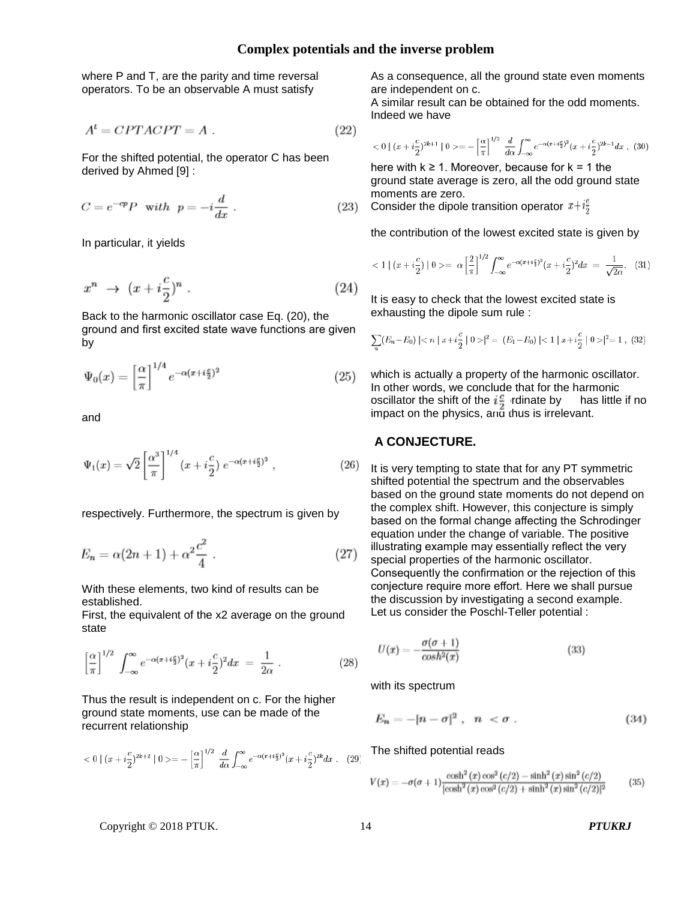where P and T, are the parity and time reversal operators. To be an observable A must satisfy

$$
A^t = CPTACPT = A.
$$
 (22)

For the shifted potential, the operator C has been derived by Ahmed [9] :

$$
C = e^{-cp} P \quad \text{with} \quad p = -i\frac{d}{dx} \ . \tag{23}
$$

In particular, it yields

$$
x^n \to (x + i\frac{c}{2})^n. \tag{24}
$$

Back to the harmonic oscillator case Eq. (20), the ground and first excited state wave functions are given by

$$
\Psi_0(x) = \left[\frac{\alpha}{\pi}\right]^{1/4} e^{-\alpha(x + i\frac{c}{2})^2} \tag{25}
$$

and

$$
\Psi_1(x) = \sqrt{2} \left[ \frac{\alpha^3}{\pi} \right]^{1/4} (x + i\frac{c}{2}) e^{-\alpha(x + i\frac{c}{2})^2}, \qquad (26)
$$

respectively. Furthermore, the spectrum is given by

$$
E_n = \alpha (2n + 1) + \alpha^2 \frac{c^2}{4} \ . \tag{27}
$$

With these elements, two kind of results can be established.

First, the equivalent of the x2 average on the ground state

$$
\left[\frac{\alpha}{\pi}\right]^{1/2} \int_{-\infty}^{\infty} e^{-\alpha(x+i\frac{c}{2})^2} (x+i\frac{c}{2})^2 dx = \frac{1}{2\alpha} . \tag{28}
$$

Thus the result is independent on c. For the higher ground state moments, use can be made of the recurrent relationship

$$
<0 \mid (x+i \frac{c}{2})^{2k+2} \mid 0>= -\left[\frac{\alpha}{\pi}\right]^{1/2} \frac{d}{d\alpha} \int_{-\infty}^{\infty} e^{-\alpha(x+i \frac{c}{2})^2} (x+i \frac{c}{2})^{2k} dx \ . \tag{29}
$$

As a consequence, all the ground state even moments are independent on c.

A similar result can be obtained for the odd moments. Indeed we have

$$
<0 \mid (x+i \frac{c}{2})^{2k+1} \mid 0>= -\left[\frac{\alpha}{\pi}\right]^{1/2} \frac{d}{d\alpha} \int_{-\infty}^{\infty} e^{-\alpha(x+i \frac{c}{2})^2} (x+i \frac{c}{2})^{2k-1} dx , \tag{30}
$$

here with  $k \geq 1$ . Moreover, because for  $k = 1$  the ground state average is zero, all the odd ground state moments are zero.

Consider the dipole transition operator  $x+i\frac{c}{2}$ 

the contribution of the lowest excited state is given by

$$
\langle 1 | (x + i\frac{c}{2}) | 0 \rangle = \alpha \left[ \frac{2}{\pi} \right]^{1/2} \int_{-\infty}^{\infty} e^{-\alpha (x + i\frac{c}{2})^2} (x + i\frac{c}{2})^2 dx = \frac{1}{\sqrt{2\alpha}}. (31)
$$

It is easy to check that the lowest excited state is exhausting the dipole sum rule :

$$
\sum_{n} (E_n - E_0) \mid < n \mid x + i\frac{c}{2} \mid 0 > \mid^2 = (E_1 - E_0) \mid < 1 \mid x + i\frac{c}{2} \mid 0 > \mid^2 = 1 \tag{32}
$$

which is actually a property of the harmonic oscillator. In other words, we conclude that for the harmonic oscillator the shift of the  $i\frac{c}{2}$  rdinate by has little if no impact on the physics, and thus is irrelevant.

#### **A CONJECTURE.**

It is very tempting to state that for any PT symmetric shifted potential the spectrum and the observables based on the ground state moments do not depend on the complex shift. However, this conjecture is simply based on the formal change affecting the Schrodinger equation under the change of variable. The positive illustrating example may essentially reflect the very special properties of the harmonic oscillator. Consequently the confirmation or the rejection of this conjecture require more effort. Here we shall pursue the discussion by investigating a second example. Let us consider the Poschl-Teller potential :

$$
U(x) = -\frac{\sigma(\sigma + 1)}{\cosh^2(x)}\tag{33}
$$

with its spectrum

$$
E_n = -[n - \sigma]^2 \ , \quad n < \sigma \ . \tag{34}
$$

The shifted potential reads

$$
V(x) = -\sigma(\sigma + 1) \frac{\cosh^2(x) \cos^2(c/2) - \sinh^2(x) \sin^2(c/2)}{[\cosh^2(x) \cos^2(c/2) + \sinh^2(x) \sin^2(c/2)]^2}
$$
(35)

#### Copyright © 2018 PTUK. 14 *PTUKRJ*